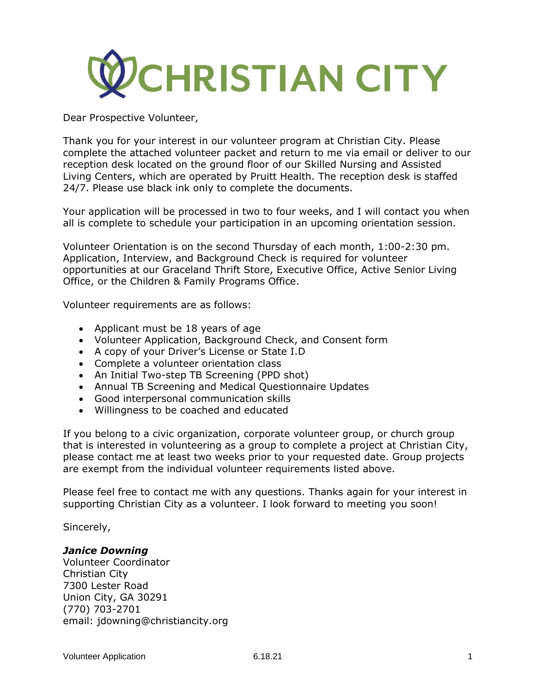

Dear Prospective Volunteer,

Thank you for your interest in our volunteer program at Christian City. Please complete the attached volunteer packet and return to me via email or deliver to our reception desk located on the ground floor of our Skilled Nursing and Assisted Living Centers, which are operated by Pruitt Health. The reception desk is staffed 24/7. Please use black ink only to complete the documents.

Your application will be processed in two to four weeks, and I will contact you when all is complete to schedule your participation in an upcoming orientation session.

Volunteer Orientation is on the second Thursday of each month, 1:00-2:30 pm. Application, Interview, and Background Check is required for volunteer opportunities at our Graceland Thrift Store, Executive Office, Active Senior Living Office, or the Children & Family Programs Office.

Volunteer requirements are as follows:

- Applicant must be 18 years of age
- Volunteer Application, Background Check, and Consent form
- A copy of your Driver's License or State I.D
- Complete a volunteer orientation class
- An Initial Two-step TB Screening (PPD shot)
- Annual TB Screening and Medical Questionnaire Updates
- Good interpersonal communication skills
- Willingness to be coached and educated

If you belong to a civic organization, corporate volunteer group, or church group that is interested in volunteering as a group to complete a project at Christian City, please contact me at least two weeks prior to your requested date. Group projects are exempt from the individual volunteer requirements listed above.

Please feel free to contact me with any questions. Thanks again for your interest in supporting Christian City as a volunteer. I look forward to meeting you soon!

Sincerely,

# *Janice Downing*

Volunteer Coordinator Christian City 7300 Lester Road Union City, GA 30291 (770) 703-2701 email: jdowning@christiancity.org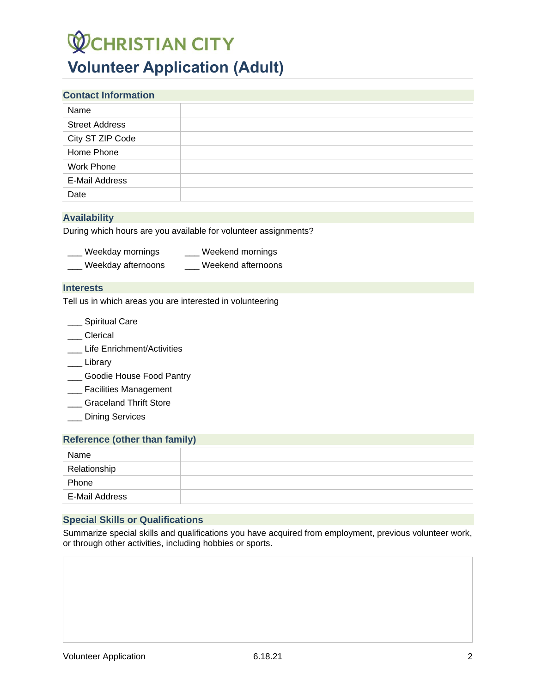# **WCHRISTIAN CITY Volunteer Application (Adult)**

| <b>Contact Information</b> |  |
|----------------------------|--|
| Name                       |  |
| <b>Street Address</b>      |  |
| City ST ZIP Code           |  |
| Home Phone                 |  |
| <b>Work Phone</b>          |  |
| <b>E-Mail Address</b>      |  |
| Date                       |  |

# **Availability**

During which hours are you available for volunteer assignments?

| Weekday mornings | Weekend mornings |
|------------------|------------------|
|------------------|------------------|

Weekday afternoons \_\_\_\_ Weekend afternoons

#### **Interests**

Tell us in which areas you are interested in volunteering

- \_\_ Spiritual Care
- \_\_\_ Clerical
- \_\_\_ Life Enrichment/Activities
- \_\_\_ Library
- \_\_\_ Goodie House Food Pantry
- **\_\_\_** Facilities Management
- **\_\_\_** Graceland Thrift Store
- \_\_\_ Dining Services

#### **Reference (other than family)**

| Name           |  |
|----------------|--|
| Relationship   |  |
| Phone          |  |
| E-Mail Address |  |

# **Special Skills or Qualifications**

Summarize special skills and qualifications you have acquired from employment, previous volunteer work, or through other activities, including hobbies or sports.